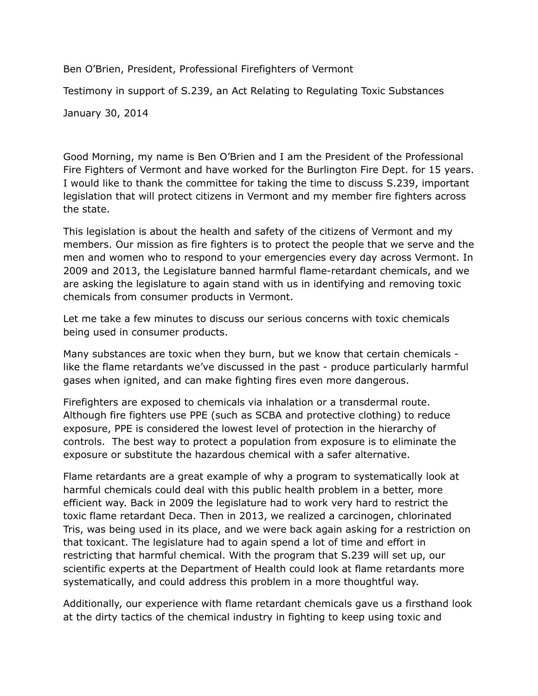Ben O'Brien, President, Professional Firefighters of Vermont

Testimony in support of S.239, an Act Relating to Regulating Toxic Substances

January 30, 2014

Good Morning, my name is Ben O'Brien and I am the President of the Professional Fire Fighters of Vermont and have worked for the Burlington Fire Dept. for 15 years. I would like to thank the committee for taking the time to discuss S.239, important legislation that will protect citizens in Vermont and my member fire fighters across the state.

This legislation is about the health and safety of the citizens of Vermont and my members. Our mission as fire fighters is to protect the people that we serve and the men and women who to respond to your emergencies every day across Vermont. In 2009 and 2013, the Legislature banned harmful flame-retardant chemicals, and we are asking the legislature to again stand with us in identifying and removing toxic chemicals from consumer products in Vermont.

Let me take a few minutes to discuss our serious concerns with toxic chemicals being used in consumer products.

Many substances are toxic when they burn, but we know that certain chemicals like the flame retardants we've discussed in the past - produce particularly harmful gases when ignited, and can make fighting fires even more dangerous.

Firefighters are exposed to chemicals via inhalation or a transdermal route. Although fire fighters use PPE (such as SCBA and protective clothing) to reduce exposure, PPE is considered the lowest level of protection in the hierarchy of controls. The best way to protect a population from exposure is to eliminate the exposure or substitute the hazardous chemical with a safer alternative.

Flame retardants are a great example of why a program to systematically look at harmful chemicals could deal with this public health problem in a better, more efficient way. Back in 2009 the legislature had to work very hard to restrict the toxic flame retardant Deca. Then in 2013, we realized a carcinogen, chlorinated Tris, was being used in its place, and we were back again asking for a restriction on that toxicant. The legislature had to again spend a lot of time and effort in restricting that harmful chemical. With the program that S.239 will set up, our scientific experts at the Department of Health could look at flame retardants more systematically, and could address this problem in a more thoughtful way.

Additionally, our experience with flame retardant chemicals gave us a firsthand look at the dirty tactics of the chemical industry in fighting to keep using toxic and